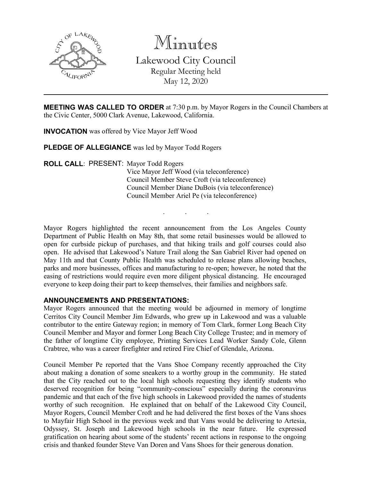

Minutes

Lakewood City Council Regular Meeting held May 12, 2020

**MEETING WAS CALLED TO ORDER** at 7:30 p.m. by Mayor Rogers in the Council Chambers at the Civic Center, 5000 Clark Avenue, Lakewood, California.

**INVOCATION** was offered by Vice Mayor Jeff Wood

**PLEDGE OF ALLEGIANCE** was led by Mayor Todd Rogers

**ROLL CALL**: PRESENT: Mayor Todd Rogers Vice Mayor Jeff Wood (via teleconference) Council Member Steve Croft (via teleconference) Council Member Diane DuBois (via teleconference) Council Member Ariel Pe (via teleconference)

Mayor Rogers highlighted the recent announcement from the Los Angeles County Department of Public Health on May 8th, that some retail businesses would be allowed to open for curbside pickup of purchases, and that hiking trails and golf courses could also open. He advised that Lakewood's Nature Trail along the San Gabriel River had opened on May 11th and that County Public Health was scheduled to release plans allowing beaches, parks and more businesses, offices and manufacturing to re-open; however, he noted that the easing of restrictions would require even more diligent physical distancing. He encouraged everyone to keep doing their part to keep themselves, their families and neighbors safe.

. . .

### **ANNOUNCEMENTS AND PRESENTATIONS:**

Mayor Rogers announced that the meeting would be adjourned in memory of longtime Cerritos City Council Member Jim Edwards, who grew up in Lakewood and was a valuable contributor to the entire Gateway region; in memory of Tom Clark, former Long Beach City Council Member and Mayor and former Long Beach City College Trustee; and in memory of the father of longtime City employee, Printing Services Lead Worker Sandy Cole, Glenn Crabtree, who was a career firefighter and retired Fire Chief of Glendale, Arizona.

Council Member Pe reported that the Vans Shoe Company recently approached the City about making a donation of some sneakers to a worthy group in the community. He stated that the City reached out to the local high schools requesting they identify students who deserved recognition for being "community-conscious" especially during the coronavirus pandemic and that each of the five high schools in Lakewood provided the names of students worthy of such recognition. He explained that on behalf of the Lakewood City Council, Mayor Rogers, Council Member Croft and he had delivered the first boxes of the Vans shoes to Mayfair High School in the previous week and that Vans would be delivering to Artesia, Odyssey, St. Joseph and Lakewood high schools in the near future. He expressed gratification on hearing about some of the students' recent actions in response to the ongoing crisis and thanked founder Steve Van Doren and Vans Shoes for their generous donation.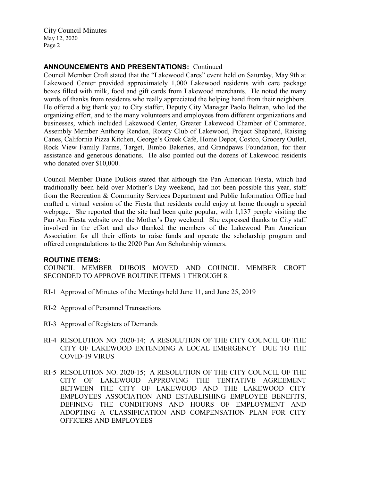# **ANNOUNCEMENTS AND PRESENTATIONS:** Continued

Council Member Croft stated that the "Lakewood Cares" event held on Saturday, May 9th at Lakewood Center provided approximately 1,000 Lakewood residents with care package boxes filled with milk, food and gift cards from Lakewood merchants. He noted the many words of thanks from residents who really appreciated the helping hand from their neighbors. He offered a big thank you to City staffer, Deputy City Manager Paolo Beltran, who led the organizing effort, and to the many volunteers and employees from different organizations and businesses, which included Lakewood Center, Greater Lakewood Chamber of Commerce, Assembly Member Anthony Rendon, Rotary Club of Lakewood, Project Shepherd, Raising Canes, California Pizza Kitchen, George's Greek Café, Home Depot, Costco, Grocery Outlet, Rock View Family Farms, Target, Bimbo Bakeries, and Grandpaws Foundation, for their assistance and generous donations. He also pointed out the dozens of Lakewood residents who donated over \$10,000.

Council Member Diane DuBois stated that although the Pan American Fiesta, which had traditionally been held over Mother's Day weekend, had not been possible this year, staff from the Recreation & Community Services Department and Public Information Office had crafted a virtual version of the Fiesta that residents could enjoy at home through a special webpage. She reported that the site had been quite popular, with 1,137 people visiting the Pan Am Fiesta website over the Mother's Day weekend. She expressed thanks to City staff involved in the effort and also thanked the members of the Lakewood Pan American Association for all their efforts to raise funds and operate the scholarship program and offered congratulations to the 2020 Pan Am Scholarship winners.

### **ROUTINE ITEMS:**

COUNCIL MEMBER DUBOIS MOVED AND COUNCIL MEMBER CROFT SECONDED TO APPROVE ROUTINE ITEMS 1 THROUGH 8.

- RI-1 Approval of Minutes of the Meetings held June 11, and June 25, 2019
- RI-2 Approval of Personnel Transactions
- RI-3 Approval of Registers of Demands
- RI-4 RESOLUTION NO. 2020-14; A RESOLUTION OF THE CITY COUNCIL OF THE CITY OF LAKEWOOD EXTENDING A LOCAL EMERGENCY DUE TO THE COVID-19 VIRUS
- RI-5 RESOLUTION NO. 2020-15; A RESOLUTION OF THE CITY COUNCIL OF THE CITY OF LAKEWOOD APPROVING THE TENTATIVE AGREEMENT BETWEEN THE CITY OF LAKEWOOD AND THE LAKEWOOD CITY EMPLOYEES ASSOCIATION AND ESTABLISHING EMPLOYEE BENEFITS, DEFINING THE CONDITIONS AND HOURS OF EMPLOYMENT AND ADOPTING A CLASSIFICATION AND COMPENSATION PLAN FOR CITY OFFICERS AND EMPLOYEES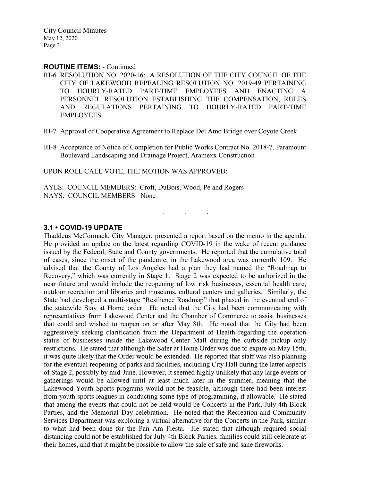#### **ROUTINE ITEMS:** - Continued

- RI-6 RESOLUTION NO. 2020-16; A RESOLUTION OF THE CITY COUNCIL OF THE CITY OF LAKEWOOD REPEALING RESOLUTION NO. 2019-49 PERTAINING TO HOURLY-RATED PART-TIME EMPLOYEES AND ENACTING A PERSONNEL RESOLUTION ESTABLISHING THE COMPENSATION, RULES AND REGULATIONS PERTAINING TO HOURLY-RATED PART-TIME EMPLOYEES
- RI-7 Approval of Cooperative Agreement to Replace Del Amo Bridge over Coyote Creek
- RI-8 Acceptance of Notice of Completion for Public Works Contract No. 2018-7, Paramount Boulevard Landscaping and Drainage Project, Aramexx Construction

. . .

UPON ROLL CALL VOTE, THE MOTION WAS APPROVED:

AYES: COUNCIL MEMBERS: Croft, DuBois, Wood, Pe and Rogers NAYS: COUNCIL MEMBERS: None

### **3.1 • COVID-19 UPDATE**

Thaddeus McCormack, City Manager, presented a report based on the memo in the agenda. He provided an update on the latest regarding COVID-19 in the wake of recent guidance issued by the Federal, State and County governments. He reported that the cumulative total of cases, since the onset of the pandemic, in the Lakewood area was currently 109. He advised that the County of Los Angeles had a plan they had named the "Roadmap to Recovery," which was currently in Stage 1. Stage 2 was expected to be authorized in the near future and would include the reopening of low risk businesses, essential health care, outdoor recreation and libraries and museums, cultural centers and galleries. Similarly, the State had developed a multi-stage "Resilience Roadmap" that phased in the eventual end of the statewide Stay at Home order. He noted that the City had been communicating with representatives from Lakewood Center and the Chamber of Commerce to assist businesses that could and wished to reopen on or after May 8th. He noted that the City had been aggressively seeking clarification from the Department of Health regarding the operation status of businesses inside the Lakewood Center Mall during the curbside pickup only restrictions. He stated that although the Safer at Home Order was due to expire on May 15th, it was quite likely that the Order would be extended. He reported that staff was also planning for the eventual reopening of parks and facilities, including City Hall during the latter aspects of Stage 2, possibly by mid-June. However, it seemed highly unlikely that any large events or gatherings would be allowed until at least much later in the summer, meaning that the Lakewood Youth Sports programs would not be feasible, although there had been interest from youth sports leagues in conducting some type of programming, if allowable. He stated that among the events that could not be held would be Concerts in the Park, July 4th Block Parties, and the Memorial Day celebration. He noted that the Recreation and Community Services Department was exploring a virtual alternative for the Concerts in the Park, similar to what had been done for the Pan Am Fiesta. He stated that although required social distancing could not be established for July 4th Block Parties, families could still celebrate at their homes, and that it might be possible to allow the sale of safe and sane fireworks.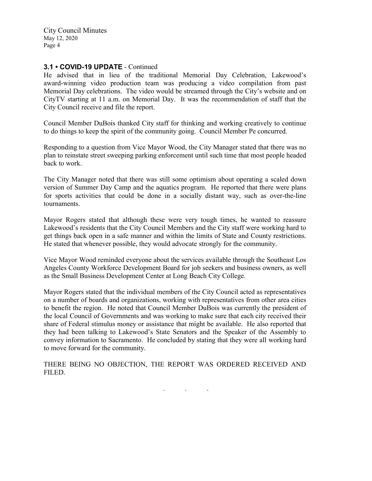### **3.1 • COVID-19 UPDATE** - Continued

He advised that in lieu of the traditional Memorial Day Celebration, Lakewood's award-winning video production team was producing a video compilation from past Memorial Day celebrations. The video would be streamed through the City's website and on CityTV starting at 11 a.m. on Memorial Day. It was the recommendation of staff that the City Council receive and file the report.

Council Member DuBois thanked City staff for thinking and working creatively to continue to do things to keep the spirit of the community going. Council Member Pe concurred.

Responding to a question from Vice Mayor Wood, the City Manager stated that there was no plan to reinstate street sweeping parking enforcement until such time that most people headed back to work.

The City Manager noted that there was still some optimism about operating a scaled down version of Summer Day Camp and the aquatics program. He reported that there were plans for sports activities that could be done in a socially distant way, such as over-the-line tournaments.

Mayor Rogers stated that although these were very tough times, he wanted to reassure Lakewood's residents that the City Council Members and the City staff were working hard to get things back open in a safe manner and within the limits of State and County restrictions. He stated that whenever possible, they would advocate strongly for the community.

Vice Mayor Wood reminded everyone about the services available through the Southeast Los Angeles County Workforce Development Board for job seekers and business owners, as well as the Small Business Development Center at Long Beach City College.

Mayor Rogers stated that the individual members of the City Council acted as representatives on a number of boards and organizations, working with representatives from other area cities to benefit the region. He noted that Council Member DuBois was currently the president of the local Council of Governments and was working to make sure that each city received their share of Federal stimulus money or assistance that might be available. He also reported that they had been talking to Lakewood's State Senators and the Speaker of the Assembly to convey information to Sacramento. He concluded by stating that they were all working hard to move forward for the community.

THERE BEING NO OBJECTION, THE REPORT WAS ORDERED RECEIVED AND FILED.

. . .